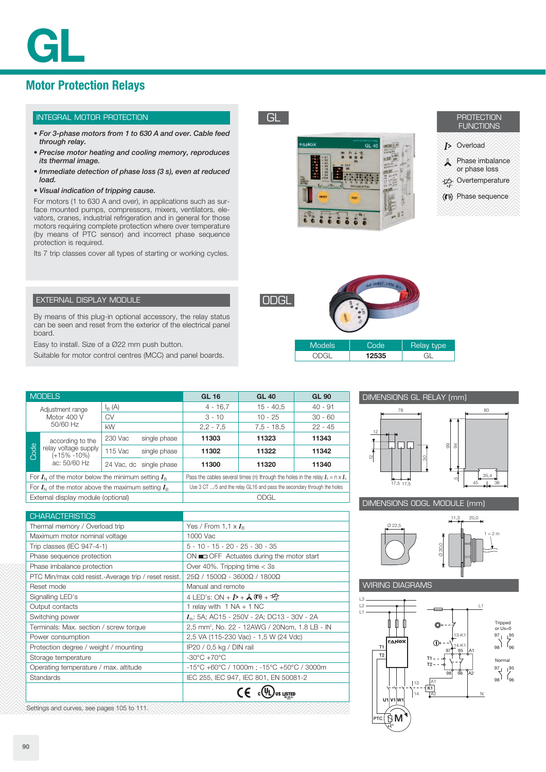# **Motor Protection Relays**

# INTEGRAL MOTOR PROTECTION

- *For 3-phase motors from 1 to 630 A and over. Cable feed through relay.*
- *Precise motor heating and cooling memory, reproduces its thermal image.*
- *Immediate detection of phase loss (3 s), even at reduced load.*

#### *• Visual indication of tripping cause.*

For motors (1 to 630 A and over), in applications such as surface mounted pumps, compressors, mixers, ventilators, elevators, cranes, industrial refrigeration and in general for those motors requiring complete protection where over temperature (by means of PTC sensor) and incorrect phase sequence protection is required.

Its 7 trip classes cover all types of starting or working cycles.



GL



- **J>** Overload
- **A** Phase imbalance or phase loss
- Overtemperature
- ((\*) Phase sequence

| <u>IODGL</u> |               |      |                   |
|--------------|---------------|------|-------------------|
|              | <b>Models</b> | Code | <b>Relay type</b> |

We are posed moore

| Models | ahn." | <b>Relay type</b> |
|--------|-------|-------------------|
|        | 12535 |                   |



### DIMENSIONS ODGL MODULE (mm)



 $1 = 2 m$ 

# WIRING DIAGRAMS



# EXTERNAL DISPLAY MODULE

By means of this plug-in optional accessory, the relay status can be seen and reset from the exterior of the electrical panel board.

Easy to install. Size of a Ø22 mm push button.

Suitable for motor control centres (MCC) and panel boards.

| <b>MODELS</b>                                              |                      |                         | <b>GL 16</b>                                                                          | <b>GL 40</b> | <b>GL 90</b> |           |
|------------------------------------------------------------|----------------------|-------------------------|---------------------------------------------------------------------------------------|--------------|--------------|-----------|
| Adjustment range<br>Motor 400 V<br>50/60 Hz                |                      | $I_{B}$ (A)             |                                                                                       | $4 - 16.7$   | $15 - 40.5$  | $40 - 91$ |
|                                                            |                      | CV                      |                                                                                       | $3 - 10$     | $10 - 25$    | $30 - 60$ |
|                                                            |                      | <b>kW</b>               |                                                                                       | $2,2 - 7,5$  | $7.5 - 18.5$ | $22 - 45$ |
|                                                            | according to the     | 230 Vac<br>single phase |                                                                                       | 11303        | 11323        | 11343     |
| <b>Code</b><br>$(+15\% -10\%)$                             | relay voltage supply | 115 Vac<br>single phase |                                                                                       | 11302        | 11322        | 11342     |
|                                                            | ac: 50/60 Hz         | 24 Vac, dc single phase |                                                                                       | 11300        | 11320        | 11340     |
| For $I_{N}$ of the motor below the minimum setting $I_{R}$ |                      |                         | Pass the cables several times (n) through the holes in the relay $I_n = n \times I_n$ |              |              |           |
| For $I_{N}$ of the motor above the maximum setting $I_{R}$ |                      |                         | Use 3 CT /5 and the relay GL16 and pass the secondary through the holes               |              |              |           |
| External display module (optional)                         |                      |                         | ODGL                                                                                  |              |              |           |
|                                                            |                      |                         |                                                                                       |              |              |           |

| <b>CHARACTERISTICS</b>                                |                                                                                     |
|-------------------------------------------------------|-------------------------------------------------------------------------------------|
| Thermal memory / Overload trip                        | Yes / From 1.1 $\times I_{\rm B}$                                                   |
| Maximum motor nominal voltage                         | 1000 Vac                                                                            |
| Trip classes (IEC 947-4-1)                            | $5 - 10 - 15 - 20 - 25 - 30 - 35$                                                   |
| Phase sequence protection                             | $ON \equiv$ OFF Actuates during the motor start                                     |
| Phase imbalance protection                            | Over 40%. Tripping time $<$ 3s                                                      |
| PTC Min/max cold resist.-Average trip / reset resist. | $25\Omega$ / 1500 $\Omega$ - 3600 $\Omega$ / 1800 $\Omega$                          |
| Reset mode                                            | Manual and remote                                                                   |
| Signalling LED's                                      | 4 LED's: ON + $I$ > + $\mathcal{A}$ ((*) + $\frac{d\mathcal{A}}{dt}$                |
| Output contacts                                       | 1 relay with $1 NA + 1 NC$                                                          |
| Switching power                                       | $I_{\text{th}}$ : 5A; AC15 - 250V - 2A; DC13 - 30V - 2A                             |
| Terminals: Max. section / screw torque                | 2,5 mm <sup>2</sup> , No. 22 - 12AWG / 20Ncm, 1.8 LB - IN                           |
| Power consumption                                     | 2,5 VA (115-230 Vac) - 1,5 W (24 Vdc)                                               |
| Protection degree / weight / mounting                 | IP20 / 0,5 kg / DIN rail                                                            |
| Storage temperature                                   | $-30^{\circ}$ C $+70^{\circ}$ C                                                     |
| Operating temperature / max. altitude                 | $-15^{\circ}$ C +60 $^{\circ}$ C / 1000m; -15 $^{\circ}$ C +50 $^{\circ}$ C / 3000m |
| <b>Standards</b>                                      | IEC 255, IEC 947, IEC 801, EN 50081-2                                               |
|                                                       |                                                                                     |

Settings and curves, see pages 105 to 111.